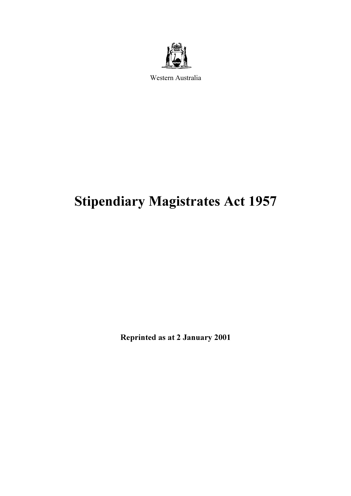

Western Australia

# Stipendiary Magistrates Act 1957

Reprinted as at 2 January 2001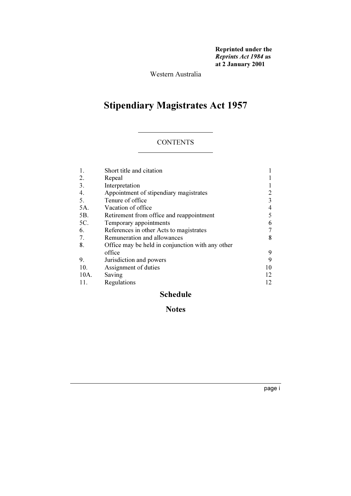Reprinted under the Reprints Act 1984 as at 2 January 2001

Western Australia

# Stipendiary Magistrates Act 1957

### **CONTENTS**

|      | Short title and citation                         |    |
|------|--------------------------------------------------|----|
| 2.   | Repeal                                           |    |
| 3.   | Interpretation                                   |    |
| 4.   | Appointment of stipendiary magistrates           | 2  |
| 5.   | Tenure of office                                 | 3  |
| 5A.  | Vacation of office                               | 4  |
| 5B.  | Retirement from office and reappointment         | 5  |
| 5C.  | Temporary appointments                           | 6  |
| 6.   | References in other Acts to magistrates          | 7  |
| 7.   | Remuneration and allowances                      | 8  |
| 8.   | Office may be held in conjunction with any other |    |
|      | office                                           | 9  |
| 9.   | Jurisdiction and powers                          | 9  |
| 10.  | Assignment of duties                             | 10 |
| 10A. | Saving                                           | 12 |
| 11.  | Regulations                                      | 12 |

### Schedule

### Notes

page i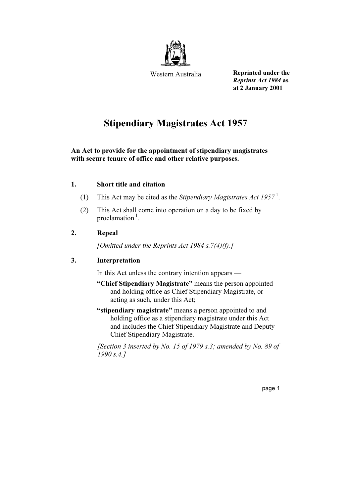

Western Australia

Reprinted under the Reprints Act 1984 as at 2 January 2001

## Stipendiary Magistrates Act 1957

### An Act to provide for the appointment of stipendiary magistrates with secure tenure of office and other relative purposes.

### 1. Short title and citation

- (1) This Act may be cited as the Stipendiary Magistrates Act 1957<sup>1</sup>.
- (2) This Act shall come into operation on a day to be fixed by proclamation $<sup>1</sup>$ .</sup>

### 2. Repeal

[Omitted under the Reprints Act 1984 s.7(4)(f).]

### 3. Interpretation

In this Act unless the contrary intention appears —

- "Chief Stipendiary Magistrate" means the person appointed and holding office as Chief Stipendiary Magistrate, or acting as such, under this Act;
- "stipendiary magistrate" means a person appointed to and holding office as a stipendiary magistrate under this Act and includes the Chief Stipendiary Magistrate and Deputy Chief Stipendiary Magistrate.

[Section 3 inserted by No. 15 of 1979 s.3; amended by No. 89 of 1990 s.4.]

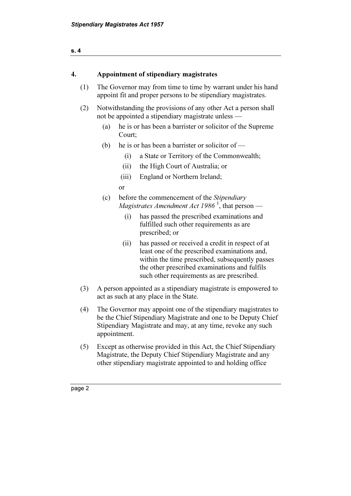| s. 4 |                                                                                                                      |                                                                     |                                                                                                                                                                                                                                                     |  |  |
|------|----------------------------------------------------------------------------------------------------------------------|---------------------------------------------------------------------|-----------------------------------------------------------------------------------------------------------------------------------------------------------------------------------------------------------------------------------------------------|--|--|
|      |                                                                                                                      |                                                                     |                                                                                                                                                                                                                                                     |  |  |
| 4.   |                                                                                                                      | Appointment of stipendiary magistrates                              |                                                                                                                                                                                                                                                     |  |  |
| (1)  |                                                                                                                      |                                                                     | The Governor may from time to time by warrant under his hand<br>appoint fit and proper persons to be stipendiary magistrates.                                                                                                                       |  |  |
| (2)  | Notwithstanding the provisions of any other Act a person shall<br>not be appointed a stipendiary magistrate unless — |                                                                     |                                                                                                                                                                                                                                                     |  |  |
|      | (a)                                                                                                                  | he is or has been a barrister or solicitor of the Supreme<br>Court; |                                                                                                                                                                                                                                                     |  |  |
|      | (b)                                                                                                                  |                                                                     | he is or has been a barrister or solicitor of —                                                                                                                                                                                                     |  |  |
|      |                                                                                                                      | (i)                                                                 | a State or Territory of the Commonwealth;                                                                                                                                                                                                           |  |  |
|      |                                                                                                                      | (ii)                                                                | the High Court of Australia; or                                                                                                                                                                                                                     |  |  |
|      |                                                                                                                      | (iii)                                                               | England or Northern Ireland;                                                                                                                                                                                                                        |  |  |
|      |                                                                                                                      | or                                                                  |                                                                                                                                                                                                                                                     |  |  |
|      | (c)                                                                                                                  |                                                                     | before the commencement of the Stipendiary<br><i>Magistrates Amendment Act 1986</i> <sup>1</sup> , that person —                                                                                                                                    |  |  |
|      |                                                                                                                      | (i)                                                                 | has passed the prescribed examinations and<br>fulfilled such other requirements as are<br>prescribed; or                                                                                                                                            |  |  |
|      |                                                                                                                      | (ii)                                                                | has passed or received a credit in respect of at<br>least one of the prescribed examinations and,<br>within the time prescribed, subsequently passes<br>the other prescribed examinations and fulfils<br>such other requirements as are prescribed. |  |  |
| (3)  |                                                                                                                      |                                                                     | A person appointed as a stipendiary magistrate is empowered to<br>act as such at any place in the State.                                                                                                                                            |  |  |
| (4)  |                                                                                                                      | appointment.                                                        | The Governor may appoint one of the stipendiary magistrates to<br>be the Chief Stipendiary Magistrate and one to be Deputy Chief<br>Stipendiary Magistrate and may, at any time, revoke any such                                                    |  |  |

 (5) Except as otherwise provided in this Act, the Chief Stipendiary Magistrate, the Deputy Chief Stipendiary Magistrate and any other stipendiary magistrate appointed to and holding office

| Ю<br>œ<br>⊶ |
|-------------|
|-------------|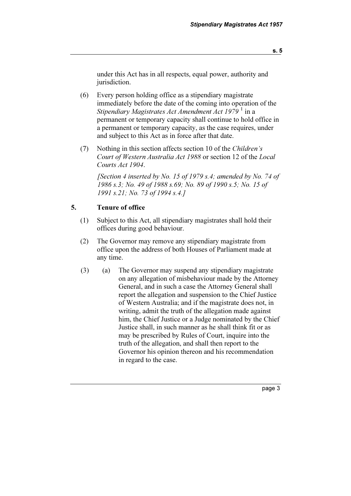under this Act has in all respects, equal power, authority and jurisdiction.

- (6) Every person holding office as a stipendiary magistrate immediately before the date of the coming into operation of the Stipendiary Magistrates Act Amendment Act 1979  $^1$  in a permanent or temporary capacity shall continue to hold office in a permanent or temporary capacity, as the case requires, under and subject to this Act as in force after that date.
- (7) Nothing in this section affects section 10 of the Children's Court of Western Australia Act 1988 or section 12 of the Local Courts Act 1904.

[Section 4 inserted by No. 15 of 1979 s.4; amended by No. 74 of 1986 s.3; No. 49 of 1988 s.69; No. 89 of 1990 s.5; No. 15 of 1991 s.21; No. 73 of 1994 s.4.]

#### 5. Tenure of office

- (1) Subject to this Act, all stipendiary magistrates shall hold their offices during good behaviour.
- (2) The Governor may remove any stipendiary magistrate from office upon the address of both Houses of Parliament made at any time.
- (3) (a) The Governor may suspend any stipendiary magistrate on any allegation of misbehaviour made by the Attorney General, and in such a case the Attorney General shall report the allegation and suspension to the Chief Justice of Western Australia; and if the magistrate does not, in writing, admit the truth of the allegation made against him, the Chief Justice or a Judge nominated by the Chief Justice shall, in such manner as he shall think fit or as may be prescribed by Rules of Court, inquire into the truth of the allegation, and shall then report to the Governor his opinion thereon and his recommendation in regard to the case.

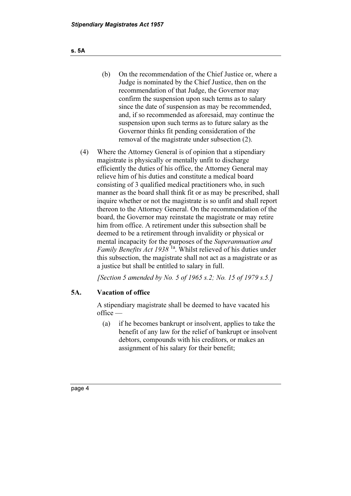- (b) On the recommendation of the Chief Justice or, where a Judge is nominated by the Chief Justice, then on the recommendation of that Judge, the Governor may confirm the suspension upon such terms as to salary since the date of suspension as may be recommended, and, if so recommended as aforesaid, may continue the suspension upon such terms as to future salary as the Governor thinks fit pending consideration of the removal of the magistrate under subsection (2).
- (4) Where the Attorney General is of opinion that a stipendiary magistrate is physically or mentally unfit to discharge efficiently the duties of his office, the Attorney General may relieve him of his duties and constitute a medical board consisting of 3 qualified medical practitioners who, in such manner as the board shall think fit or as may be prescribed, shall inquire whether or not the magistrate is so unfit and shall report thereon to the Attorney General. On the recommendation of the board, the Governor may reinstate the magistrate or may retire him from office. A retirement under this subsection shall be deemed to be a retirement through invalidity or physical or mental incapacity for the purposes of the Superannuation and *Family Benefits Act 1938*<sup>1a</sup>. Whilst relieved of his duties under this subsection, the magistrate shall not act as a magistrate or as a justice but shall be entitled to salary in full.

[Section 5 amended by No. 5 of 1965 s.2; No. 15 of 1979 s.5.]

### 5A. Vacation of office

 A stipendiary magistrate shall be deemed to have vacated his office —

 (a) if he becomes bankrupt or insolvent, applies to take the benefit of any law for the relief of bankrupt or insolvent debtors, compounds with his creditors, or makes an assignment of his salary for their benefit;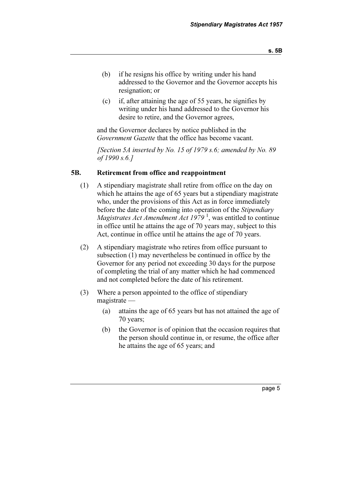(c) if, after attaining the age of 55 years, he signifies by writing under his hand addressed to the Governor his desire to retire, and the Governor agrees,

 and the Governor declares by notice published in the Government Gazette that the office has become vacant.

[Section 5A inserted by No. 15 of 1979 s.6; amended by No. 89 of 1990 s.6.]

### 5B. Retirement from office and reappointment

resignation; or

- (1) A stipendiary magistrate shall retire from office on the day on which he attains the age of 65 years but a stipendiary magistrate who, under the provisions of this Act as in force immediately before the date of the coming into operation of the *Stipendiary* Magistrates Act Amendment Act 1979<sup>1</sup>, was entitled to continue in office until he attains the age of 70 years may, subject to this Act, continue in office until he attains the age of 70 years.
- (2) A stipendiary magistrate who retires from office pursuant to subsection (1) may nevertheless be continued in office by the Governor for any period not exceeding 30 days for the purpose of completing the trial of any matter which he had commenced and not completed before the date of his retirement.
- (3) Where a person appointed to the office of stipendiary magistrate —
	- (a) attains the age of 65 years but has not attained the age of 70 years;
	- (b) the Governor is of opinion that the occasion requires that the person should continue in, or resume, the office after he attains the age of 65 years; and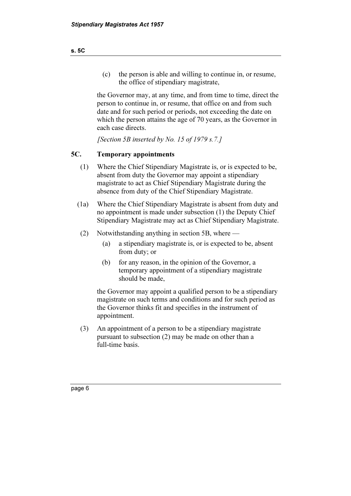(c) the person is able and willing to continue in, or resume, the office of stipendiary magistrate,

 the Governor may, at any time, and from time to time, direct the person to continue in, or resume, that office on and from such date and for such period or periods, not exceeding the date on which the person attains the age of 70 years, as the Governor in each case directs.

[Section 5B inserted by No. 15 of 1979 s.7.]

### 5C. Temporary appointments

- (1) Where the Chief Stipendiary Magistrate is, or is expected to be, absent from duty the Governor may appoint a stipendiary magistrate to act as Chief Stipendiary Magistrate during the absence from duty of the Chief Stipendiary Magistrate.
- (1a) Where the Chief Stipendiary Magistrate is absent from duty and no appointment is made under subsection (1) the Deputy Chief Stipendiary Magistrate may act as Chief Stipendiary Magistrate.
- (2) Notwithstanding anything in section 5B, where
	- (a) a stipendiary magistrate is, or is expected to be, absent from duty; or
	- (b) for any reason, in the opinion of the Governor, a temporary appointment of a stipendiary magistrate should be made,

 the Governor may appoint a qualified person to be a stipendiary magistrate on such terms and conditions and for such period as the Governor thinks fit and specifies in the instrument of appointment.

 (3) An appointment of a person to be a stipendiary magistrate pursuant to subsection (2) may be made on other than a full-time basis.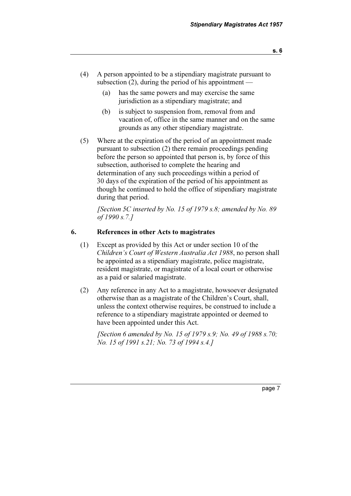- (4) A person appointed to be a stipendiary magistrate pursuant to subsection  $(2)$ , during the period of his appointment —
	- (a) has the same powers and may exercise the same jurisdiction as a stipendiary magistrate; and
	- (b) is subject to suspension from, removal from and vacation of, office in the same manner and on the same grounds as any other stipendiary magistrate.
- (5) Where at the expiration of the period of an appointment made pursuant to subsection (2) there remain proceedings pending before the person so appointed that person is, by force of this subsection, authorised to complete the hearing and determination of any such proceedings within a period of 30 days of the expiration of the period of his appointment as though he continued to hold the office of stipendiary magistrate during that period.

[Section 5C inserted by No. 15 of 1979 s.8; amended by No. 89 of 1990 s.7.]

### 6. References in other Acts to magistrates

- (1) Except as provided by this Act or under section 10 of the Children's Court of Western Australia Act 1988, no person shall be appointed as a stipendiary magistrate, police magistrate, resident magistrate, or magistrate of a local court or otherwise as a paid or salaried magistrate.
- (2) Any reference in any Act to a magistrate, howsoever designated otherwise than as a magistrate of the Children's Court, shall, unless the context otherwise requires, be construed to include a reference to a stipendiary magistrate appointed or deemed to have been appointed under this Act.

[Section 6 amended by No. 15 of 1979 s.9; No. 49 of 1988 s.70; No. 15 of 1991 s.21; No. 73 of 1994 s.4.]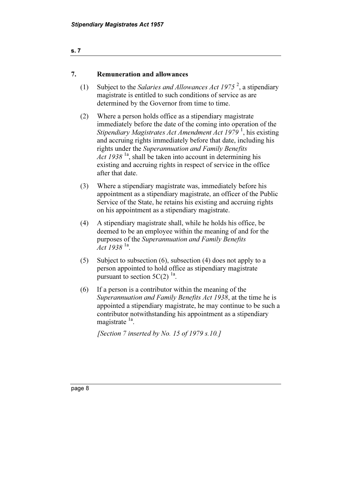### 7. Remuneration and allowances

- (1) Subject to the Salaries and Allowances Act 1975<sup>2</sup>, a stipendiary magistrate is entitled to such conditions of service as are determined by the Governor from time to time.
	- (2) Where a person holds office as a stipendiary magistrate immediately before the date of the coming into operation of the Stipendiary Magistrates Act Amendment Act 1979<sup>1</sup>, his existing and accruing rights immediately before that date, including his rights under the Superannuation and Family Benefits Act 1938  $^{1a}$ , shall be taken into account in determining his existing and accruing rights in respect of service in the office after that date.
	- (3) Where a stipendiary magistrate was, immediately before his appointment as a stipendiary magistrate, an officer of the Public Service of the State, he retains his existing and accruing rights on his appointment as a stipendiary magistrate.
	- (4) A stipendiary magistrate shall, while he holds his office, be deemed to be an employee within the meaning of and for the purposes of the Superannuation and Family Benefits Act 1938  $^{1a}$ .
	- (5) Subject to subsection (6), subsection (4) does not apply to a person appointed to hold office as stipendiary magistrate pursuant to section  $5C(2)$  <sup>1a</sup>.
	- (6) If a person is a contributor within the meaning of the Superannuation and Family Benefits Act 1938, at the time he is appointed a stipendiary magistrate, he may continue to be such a contributor notwithstanding his appointment as a stipendiary magistrate <sup>1a</sup>.

[Section 7 inserted by No. 15 of 1979 s.10.]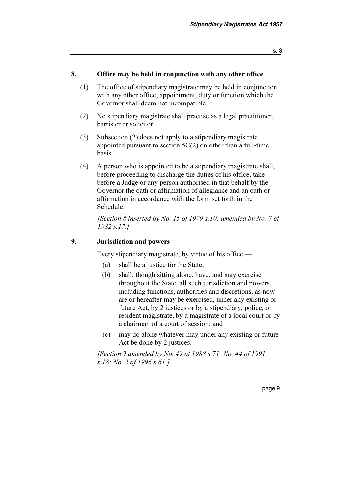### 8. Office may be held in conjunction with any other office

- (1) The office of stipendiary magistrate may be held in conjunction with any other office, appointment, duty or function which the Governor shall deem not incompatible.
- (2) No stipendiary magistrate shall practise as a legal practitioner, barrister or solicitor.
- (3) Subsection (2) does not apply to a stipendiary magistrate appointed pursuant to section 5C(2) on other than a full-time basis.
- (4) A person who is appointed to be a stipendiary magistrate shall, before proceeding to discharge the duties of his office, take before a Judge or any person authorised in that behalf by the Governor the oath or affirmation of allegiance and an oath or affirmation in accordance with the form set forth in the Schedule.

[Section 8 inserted by No. 15 of 1979 s.10; amended by No. 7 of 1982 s.17.]

### 9. Jurisdiction and powers

Every stipendiary magistrate, by virtue of his office —

- (a) shall be a justice for the State;
- (b) shall, though sitting alone, have, and may exercise throughout the State, all such jurisdiction and powers, including functions, authorities and discretions, as now are or hereafter may be exercised, under any existing or future Act, by 2 justices or by a stipendiary, police, or resident magistrate, by a magistrate of a local court or by a chairman of a court of session; and
- (c) may do alone whatever may under any existing or future Act be done by 2 justices.

 [Section 9 amended by No. 49 of 1988 s.71; No. 44 of 1991 s.18; No. 2 of 1996 s.61.]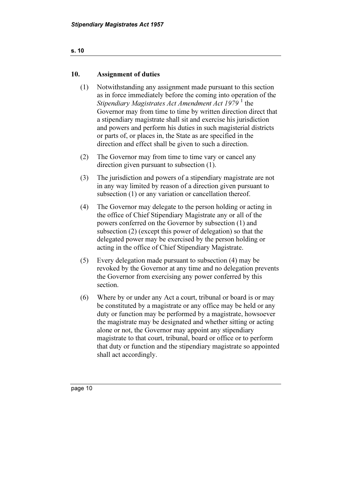### s. 10

### 10. Assignment of duties

- (1) Notwithstanding any assignment made pursuant to this section as in force immediately before the coming into operation of the Stipendiary Magistrates Act Amendment Act 1979<sup>1</sup> the Governor may from time to time by written direction direct that a stipendiary magistrate shall sit and exercise his jurisdiction and powers and perform his duties in such magisterial districts or parts of, or places in, the State as are specified in the direction and effect shall be given to such a direction.
- (2) The Governor may from time to time vary or cancel any direction given pursuant to subsection (1).
- (3) The jurisdiction and powers of a stipendiary magistrate are not in any way limited by reason of a direction given pursuant to subsection (1) or any variation or cancellation thereof.
- (4) The Governor may delegate to the person holding or acting in the office of Chief Stipendiary Magistrate any or all of the powers conferred on the Governor by subsection (1) and subsection (2) (except this power of delegation) so that the delegated power may be exercised by the person holding or acting in the office of Chief Stipendiary Magistrate.
- (5) Every delegation made pursuant to subsection (4) may be revoked by the Governor at any time and no delegation prevents the Governor from exercising any power conferred by this section.
- (6) Where by or under any Act a court, tribunal or board is or may be constituted by a magistrate or any office may be held or any duty or function may be performed by a magistrate, howsoever the magistrate may be designated and whether sitting or acting alone or not, the Governor may appoint any stipendiary magistrate to that court, tribunal, board or office or to perform that duty or function and the stipendiary magistrate so appointed shall act accordingly.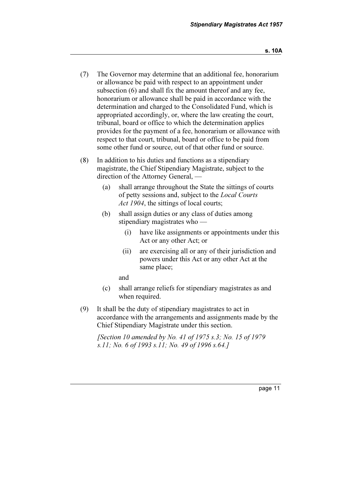- (7) The Governor may determine that an additional fee, honorarium or allowance be paid with respect to an appointment under subsection (6) and shall fix the amount thereof and any fee, honorarium or allowance shall be paid in accordance with the determination and charged to the Consolidated Fund, which is appropriated accordingly, or, where the law creating the court, tribunal, board or office to which the determination applies provides for the payment of a fee, honorarium or allowance with respect to that court, tribunal, board or office to be paid from some other fund or source, out of that other fund or source.
- (8) In addition to his duties and functions as a stipendiary magistrate, the Chief Stipendiary Magistrate, subject to the direction of the Attorney General, —
	- (a) shall arrange throughout the State the sittings of courts of petty sessions and, subject to the Local Courts Act 1904, the sittings of local courts:
	- (b) shall assign duties or any class of duties among stipendiary magistrates who —
		- (i) have like assignments or appointments under this Act or any other Act; or
		- (ii) are exercising all or any of their jurisdiction and powers under this Act or any other Act at the same place;

and

- (c) shall arrange reliefs for stipendiary magistrates as and when required.
- (9) It shall be the duty of stipendiary magistrates to act in accordance with the arrangements and assignments made by the Chief Stipendiary Magistrate under this section.

 [Section 10 amended by No. 41 of 1975 s.3; No. 15 of 1979 s.11; No. 6 of 1993 s.11; No. 49 of 1996 s.64.]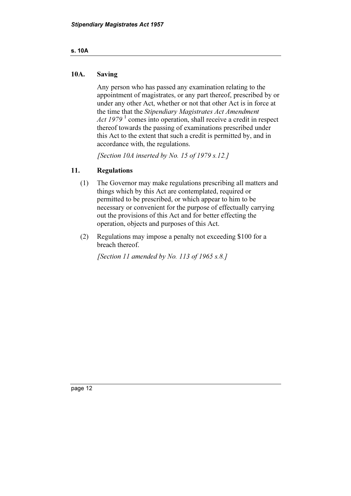### s. 10A

### 10A. Saving

 Any person who has passed any examination relating to the appointment of magistrates, or any part thereof, prescribed by or under any other Act, whether or not that other Act is in force at the time that the Stipendiary Magistrates Act Amendment Act  $1979<sup>1</sup>$  comes into operation, shall receive a credit in respect thereof towards the passing of examinations prescribed under this Act to the extent that such a credit is permitted by, and in accordance with, the regulations.

[Section 10A inserted by No. 15 of 1979 s.12.]

### 11. Regulations

- (1) The Governor may make regulations prescribing all matters and things which by this Act are contemplated, required or permitted to be prescribed, or which appear to him to be necessary or convenient for the purpose of effectually carrying out the provisions of this Act and for better effecting the operation, objects and purposes of this Act.
- (2) Regulations may impose a penalty not exceeding \$100 for a breach thereof.

[Section 11 amended by No. 113 of 1965 s.8.]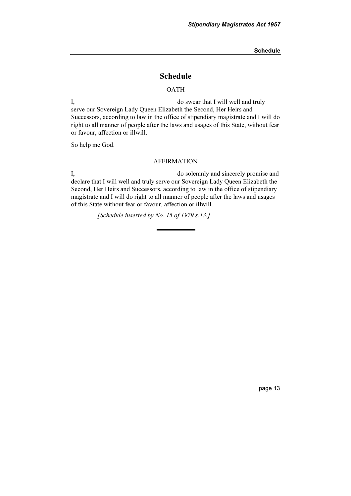Schedule

### Schedule

#### **OATH**

I, do swear that I will well and truly serve our Sovereign Lady Queen Elizabeth the Second, Her Heirs and Successors, according to law in the office of stipendiary magistrate and I will do right to all manner of people after the laws and usages of this State, without fear or favour, affection or illwill.

So help me God.

#### AFFIRMATION

I, do solemnly and sincerely promise and declare that I will well and truly serve our Sovereign Lady Queen Elizabeth the Second, Her Heirs and Successors, according to law in the office of stipendiary magistrate and I will do right to all manner of people after the laws and usages of this State without fear or favour, affection or illwill.

[Schedule inserted by No. 15 of 1979 s.13.]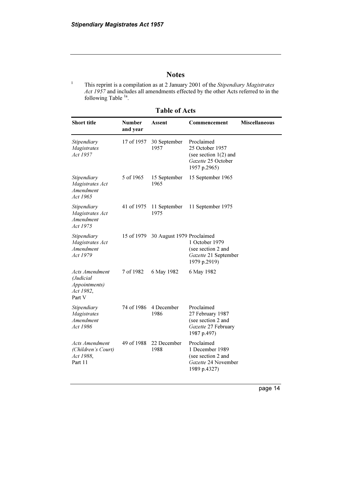### Notes

1 This reprint is a compilation as at 2 January 2001 of the Stipendiary Magistrates Act 1957 and includes all amendments effected by the other Acts referred to in the following Table<sup>1a</sup>.

Table of Acts

| <b>Short title</b>                                                                 | <b>Number</b><br>and year | Assent                    | Commencement                                                                                   | <b>Miscellaneous</b> |
|------------------------------------------------------------------------------------|---------------------------|---------------------------|------------------------------------------------------------------------------------------------|----------------------|
| Stipendiary<br>Magistrates<br>Act 1957                                             | 17 of 1957                | 30 September<br>1957      | Proclaimed<br>25 October 1957<br>(see section $1(2)$ and<br>Gazette 25 October<br>1957 p.2965) |                      |
| Stipendiary<br>Magistrates Act<br>Amendment<br>Act 1965                            | 5 of 1965                 | 15 September<br>1965      | 15 September 1965                                                                              |                      |
| Stipendiary<br>Magistrates Act<br>Amendment<br>Act 1975                            | 41 of 1975                | 11 September<br>1975      | 11 September 1975                                                                              |                      |
| Stipendiary<br>Magistrates Act<br>Amendment<br>Act 1979                            | 15 of 1979                | 30 August 1979 Proclaimed | 1 October 1979<br>(see section 2 and<br>Gazette 21 September<br>1979 p.2919)                   |                      |
| <b>Acts Amendment</b><br>(Judicial<br><i>Appointments</i> )<br>Act 1982,<br>Part V | 7 of 1982                 | 6 May 1982                | 6 May 1982                                                                                     |                      |
| Stipendiary<br><b>Magistrates</b><br>Amendment<br>Act 1986                         | 74 of 1986                | 4 December<br>1986        | Proclaimed<br>27 February 1987<br>(see section 2 and<br>Gazette 27 February<br>1987 p.497)     |                      |
| Acts Amendment<br>(Children's Court)<br>Act 1988,<br>Part 11                       | 49 of 1988                | 22 December<br>1988       | Proclaimed<br>1 December 1989<br>(see section 2 and<br>Gazette 24 November<br>1989 p.4327)     |                      |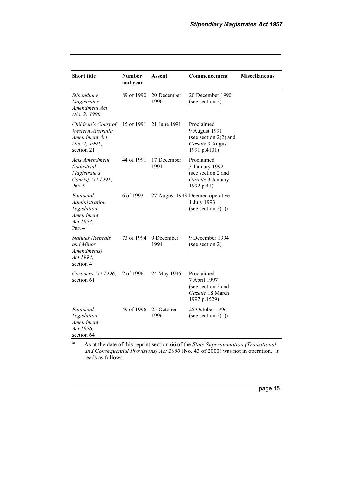| <b>Short title</b>                                                                         | <b>Number</b><br>and year | Assent              | Commencement                                                                               | <b>Miscellaneous</b> |
|--------------------------------------------------------------------------------------------|---------------------------|---------------------|--------------------------------------------------------------------------------------------|----------------------|
| Stipendiary<br><b>Magistrates</b><br>Amendment Act<br>$(No. 2)$ 1990                       | 89 of 1990                | 20 December<br>1990 | 20 December 1990<br>(see section 2)                                                        |                      |
| Children's Court of<br>Western Australia<br>Amendment Act<br>$(No. 2)$ 1991,<br>section 21 | 15 of 1991                | 21 June 1991        | Proclaimed<br>9 August 1991<br>(see section $2(2)$ and<br>Gazette 9 August<br>1991 p.4101) |                      |
| Acts Amendment<br>(Industrial)<br>Magistrate's<br>Courts) Act 1991,<br>Part 5              | 44 of 1991                | 17 December<br>1991 | Proclaimed<br>3 January 1992<br>(see section 2 and<br>Gazette 3 January<br>1992 p.41)      |                      |
| Financial<br>Administration<br>Legislation<br>Amendment<br>Act 1993,<br>Part 4             | 6 of 1993                 |                     | 27 August 1993 Deemed operative<br>1 July 1993<br>(see section $2(1)$ )                    |                      |
| <b>Statutes</b> (Repeals<br>and Minor<br>Amendments)<br>Act 1994,<br>section 4             | 73 of 1994                | 9 December<br>1994  | 9 December 1994<br>(see section 2)                                                         |                      |
| Coroners Act 1996,<br>section 61                                                           | 2 of 1996                 | 24 May 1996         | Proclaimed<br>7 April 1997<br>(see section 2 and<br>Gazette 18 March<br>1997 p.1529)       |                      |
| Financial<br>Legislation<br>Amendment<br>Act 1996,<br>section 64                           | 49 of 1996                | 25 October<br>1996  | 25 October 1996<br>(see section $2(1)$ )                                                   |                      |

 $1a$  As at the date of this reprint section 66 of the State Superannuation (Transitional and Consequential Provisions) Act 2000 (No. 43 of 2000) was not in operation. It reads as follows —